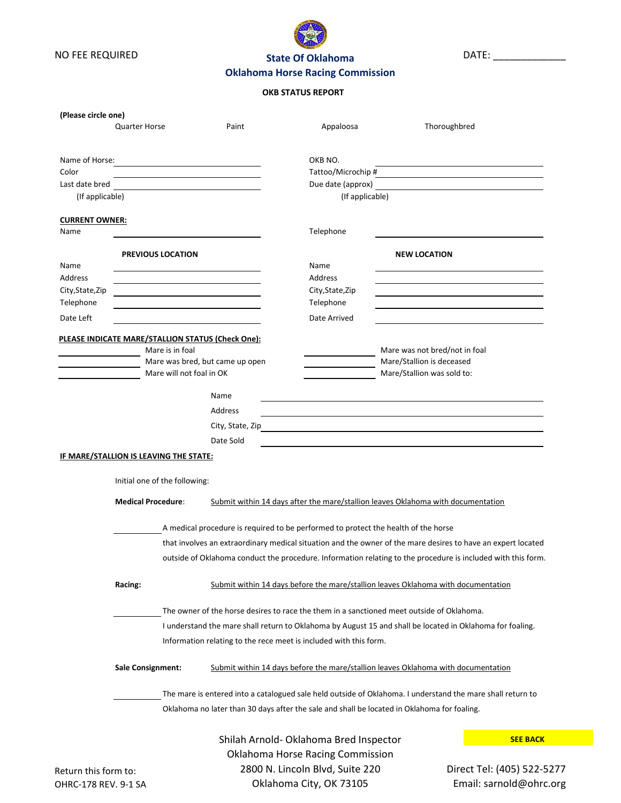



DATE: \_\_\_\_\_\_\_\_\_\_\_\_\_

# **Oklahoma Horse Racing Commission**

## **OKB STATUS REPORT**

| (Please circle one)                                | <b>Quarter Horse</b>                                                                                                                                                                                                                                                        | Paint                                                                                       | Appaloosa                                                                         | Thoroughbred                                                                                               |                            |  |
|----------------------------------------------------|-----------------------------------------------------------------------------------------------------------------------------------------------------------------------------------------------------------------------------------------------------------------------------|---------------------------------------------------------------------------------------------|-----------------------------------------------------------------------------------|------------------------------------------------------------------------------------------------------------|----------------------------|--|
|                                                    |                                                                                                                                                                                                                                                                             |                                                                                             |                                                                                   |                                                                                                            |                            |  |
| Name of Horse:                                     |                                                                                                                                                                                                                                                                             | <u> 1980 - Andrea Andrew Maria (h. 1980).</u>                                               | OKB NO.                                                                           |                                                                                                            |                            |  |
| Color                                              |                                                                                                                                                                                                                                                                             |                                                                                             | Tattoo/Microchip #                                                                |                                                                                                            |                            |  |
| Last date bred                                     |                                                                                                                                                                                                                                                                             |                                                                                             | Due date (approx)                                                                 |                                                                                                            |                            |  |
| (If applicable)                                    |                                                                                                                                                                                                                                                                             |                                                                                             | (If applicable)                                                                   |                                                                                                            |                            |  |
| <b>CURRENT OWNER:</b><br>Name                      |                                                                                                                                                                                                                                                                             |                                                                                             | Telephone                                                                         |                                                                                                            |                            |  |
|                                                    |                                                                                                                                                                                                                                                                             |                                                                                             |                                                                                   |                                                                                                            |                            |  |
|                                                    | <b>PREVIOUS LOCATION</b>                                                                                                                                                                                                                                                    |                                                                                             |                                                                                   | <b>NEW LOCATION</b>                                                                                        |                            |  |
| Name                                               |                                                                                                                                                                                                                                                                             |                                                                                             | Name                                                                              |                                                                                                            |                            |  |
| Address                                            |                                                                                                                                                                                                                                                                             |                                                                                             | Address                                                                           |                                                                                                            |                            |  |
| City, State, Zip                                   |                                                                                                                                                                                                                                                                             |                                                                                             | City, State, Zip                                                                  |                                                                                                            |                            |  |
| Telephone                                          |                                                                                                                                                                                                                                                                             |                                                                                             | Telephone                                                                         |                                                                                                            |                            |  |
| Date Left                                          |                                                                                                                                                                                                                                                                             |                                                                                             | Date Arrived                                                                      |                                                                                                            |                            |  |
|                                                    | PLEASE INDICATE MARE/STALLION STATUS (Check One):                                                                                                                                                                                                                           |                                                                                             |                                                                                   |                                                                                                            |                            |  |
| Mare is in foal<br>Mare was bred, but came up open |                                                                                                                                                                                                                                                                             |                                                                                             |                                                                                   | Mare was not bred/not in foal                                                                              |                            |  |
| Mare will not foal in OK                           |                                                                                                                                                                                                                                                                             |                                                                                             |                                                                                   | Mare/Stallion is deceased<br>Mare/Stallion was sold to:                                                    |                            |  |
|                                                    |                                                                                                                                                                                                                                                                             |                                                                                             |                                                                                   |                                                                                                            |                            |  |
|                                                    |                                                                                                                                                                                                                                                                             | Name                                                                                        |                                                                                   |                                                                                                            |                            |  |
|                                                    |                                                                                                                                                                                                                                                                             | <b>Address</b>                                                                              |                                                                                   |                                                                                                            |                            |  |
|                                                    |                                                                                                                                                                                                                                                                             | City, State, Zip                                                                            |                                                                                   |                                                                                                            |                            |  |
|                                                    |                                                                                                                                                                                                                                                                             | Date Sold                                                                                   |                                                                                   |                                                                                                            |                            |  |
|                                                    | IF MARE/STALLION IS LEAVING THE STATE:                                                                                                                                                                                                                                      |                                                                                             |                                                                                   |                                                                                                            |                            |  |
|                                                    | Initial one of the following:                                                                                                                                                                                                                                               |                                                                                             |                                                                                   |                                                                                                            |                            |  |
|                                                    | <b>Medical Procedure:</b>                                                                                                                                                                                                                                                   |                                                                                             | Submit within 14 days after the mare/stallion leaves Oklahoma with documentation  |                                                                                                            |                            |  |
|                                                    |                                                                                                                                                                                                                                                                             | A medical procedure is required to be performed to protect the health of the horse          |                                                                                   |                                                                                                            |                            |  |
|                                                    |                                                                                                                                                                                                                                                                             |                                                                                             |                                                                                   |                                                                                                            |                            |  |
|                                                    | that involves an extraordinary medical situation and the owner of the mare desires to have an expert located<br>outside of Oklahoma conduct the procedure. Information relating to the procedure is included with this form.                                                |                                                                                             |                                                                                   |                                                                                                            |                            |  |
|                                                    | Racing:                                                                                                                                                                                                                                                                     |                                                                                             | Submit within 14 days before the mare/stallion leaves Oklahoma with documentation |                                                                                                            |                            |  |
|                                                    | The owner of the horse desires to race the them in a sanctioned meet outside of Oklahoma.<br>I understand the mare shall return to Oklahoma by August 15 and shall be located in Oklahoma for foaling.<br>Information relating to the rece meet is included with this form. |                                                                                             |                                                                                   |                                                                                                            |                            |  |
|                                                    |                                                                                                                                                                                                                                                                             |                                                                                             |                                                                                   |                                                                                                            |                            |  |
|                                                    |                                                                                                                                                                                                                                                                             |                                                                                             |                                                                                   |                                                                                                            |                            |  |
|                                                    | <b>Sale Consignment:</b>                                                                                                                                                                                                                                                    |                                                                                             | Submit within 14 days before the mare/stallion leaves Oklahoma with documentation |                                                                                                            |                            |  |
|                                                    |                                                                                                                                                                                                                                                                             |                                                                                             |                                                                                   | The mare is entered into a catalogued sale held outside of Oklahoma. I understand the mare shall return to |                            |  |
|                                                    |                                                                                                                                                                                                                                                                             | Oklahoma no later than 30 days after the sale and shall be located in Oklahoma for foaling. |                                                                                   |                                                                                                            |                            |  |
|                                                    |                                                                                                                                                                                                                                                                             |                                                                                             | Shilah Arnold- Oklahoma Bred Inspector                                            |                                                                                                            | <b>SEE BACK</b>            |  |
|                                                    |                                                                                                                                                                                                                                                                             |                                                                                             |                                                                                   |                                                                                                            |                            |  |
|                                                    |                                                                                                                                                                                                                                                                             |                                                                                             | <b>Oklahoma Horse Racing Commission</b>                                           |                                                                                                            |                            |  |
| Return this form to:                               |                                                                                                                                                                                                                                                                             |                                                                                             | 2800 N. Lincoln Blvd, Suite 220                                                   |                                                                                                            | Direct Tel: (405) 522-5277 |  |

Oklahoma City, OK 73105

Email: sarnold@ohrc.org